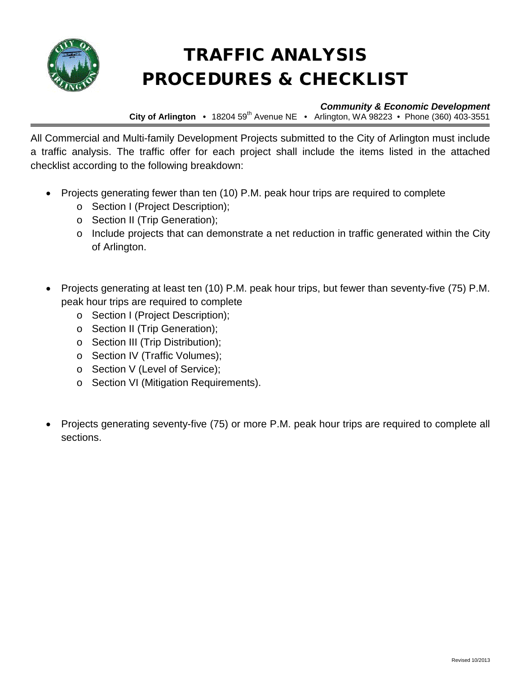

# TRAFFIC ANALYSIS PROCEDURES & CHECKLIST

### *Community & Economic Development*

**City of Arlington •** 18204 59<sup>th</sup> Avenue NE • Arlington, WA 98223 • Phone (360) 403-3551

All Commercial and Multi-family Development Projects submitted to the City of Arlington must include a traffic analysis. The traffic offer for each project shall include the items listed in the attached checklist according to the following breakdown:

- Projects generating fewer than ten (10) P.M. peak hour trips are required to complete
	- o Section I (Project Description);
	- o Section II (Trip Generation);
	- o Include projects that can demonstrate a net reduction in traffic generated within the City of Arlington.
- Projects generating at least ten (10) P.M. peak hour trips, but fewer than seventy-five (75) P.M. peak hour trips are required to complete
	- o Section I (Project Description);
	- o Section II (Trip Generation);
	- o Section III (Trip Distribution);
	- o Section IV (Traffic Volumes);
	- o Section V (Level of Service);
	- o Section VI (Mitigation Requirements).
- Projects generating seventy-five (75) or more P.M. peak hour trips are required to complete all sections.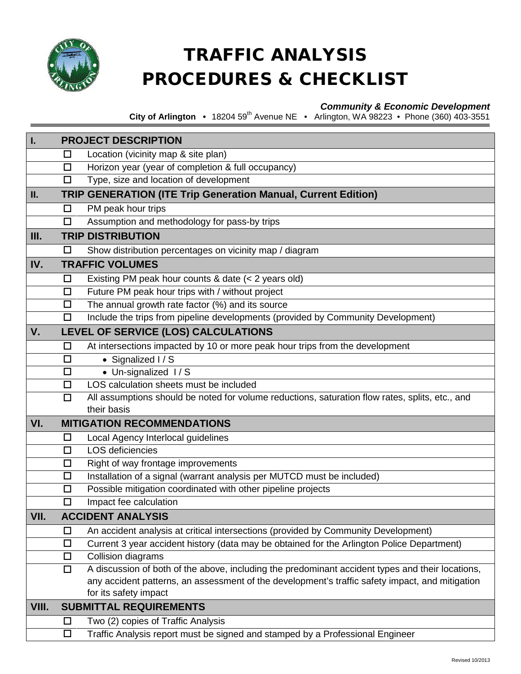

# TRAFFIC ANALYSIS PROCEDURES & CHECKLIST

## *Community & Economic Development*

**City of Arlington •** 18204 59th Avenue NE • Arlington, WA 98223 • Phone (360) 403-3551

| I.    | <b>PROJECT DESCRIPTION</b>    |                                                                                                  |  |
|-------|-------------------------------|--------------------------------------------------------------------------------------------------|--|
|       | □                             | Location (vicinity map & site plan)                                                              |  |
|       | □                             | Horizon year (year of completion & full occupancy)                                               |  |
|       | □                             | Type, size and location of development                                                           |  |
| П.    |                               | <b>TRIP GENERATION (ITE Trip Generation Manual, Current Edition)</b>                             |  |
|       | □                             | PM peak hour trips                                                                               |  |
|       | $\Box$                        | Assumption and methodology for pass-by trips                                                     |  |
| III.  |                               | <b>TRIP DISTRIBUTION</b>                                                                         |  |
|       | □                             | Show distribution percentages on vicinity map / diagram                                          |  |
| IV.   |                               | <b>TRAFFIC VOLUMES</b>                                                                           |  |
|       | $\Box$                        | Existing PM peak hour counts & date (< 2 years old)                                              |  |
|       | □                             | Future PM peak hour trips with / without project                                                 |  |
|       | □                             | The annual growth rate factor (%) and its source                                                 |  |
|       | $\Box$                        | Include the trips from pipeline developments (provided by Community Development)                 |  |
| V.    |                               | LEVEL OF SERVICE (LOS) CALCULATIONS                                                              |  |
|       | $\Box$                        | At intersections impacted by 10 or more peak hour trips from the development                     |  |
|       | □                             | • Signalized I / S                                                                               |  |
|       | $\Box$                        | • Un-signalized I/S                                                                              |  |
|       | $\Box$                        | LOS calculation sheets must be included                                                          |  |
|       | $\Box$                        | All assumptions should be noted for volume reductions, saturation flow rates, splits, etc., and  |  |
|       |                               | their basis                                                                                      |  |
| VI.   |                               | <b>MITIGATION RECOMMENDATIONS</b>                                                                |  |
|       | □                             | Local Agency Interlocal guidelines                                                               |  |
|       | $\Box$                        | <b>LOS</b> deficiencies                                                                          |  |
|       | $\Box$                        | Right of way frontage improvements                                                               |  |
|       | □                             | Installation of a signal (warrant analysis per MUTCD must be included)                           |  |
|       | $\Box$                        | Possible mitigation coordinated with other pipeline projects                                     |  |
|       | $\Box$                        | Impact fee calculation                                                                           |  |
| VII.  |                               | <b>ACCIDENT ANALYSIS</b>                                                                         |  |
|       | □                             | An accident analysis at critical intersections (provided by Community Development)               |  |
|       | $\Box$                        | Current 3 year accident history (data may be obtained for the Arlington Police Department)       |  |
|       | $\Box$                        | Collision diagrams                                                                               |  |
|       | $\Box$                        | A discussion of both of the above, including the predominant accident types and their locations, |  |
|       |                               | any accident patterns, an assessment of the development's traffic safety impact, and mitigation  |  |
|       |                               | for its safety impact                                                                            |  |
| VIII. | <b>SUBMITTAL REQUIREMENTS</b> |                                                                                                  |  |
|       | $\Box$                        | Two (2) copies of Traffic Analysis                                                               |  |
|       | □                             | Traffic Analysis report must be signed and stamped by a Professional Engineer                    |  |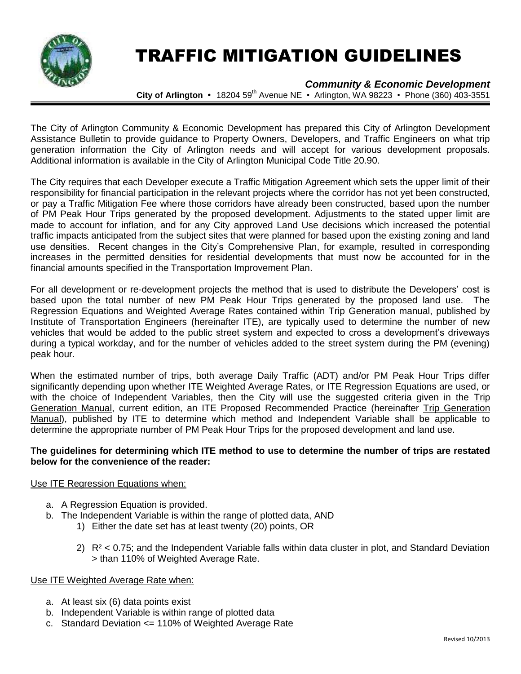

# TRAFFIC MITIGATION GUIDELINES

### *Community & Economic Development*

**City of Arlington •** 18204 59<sup>th</sup> Avenue NE • Arlington, WA 98223 • Phone (360) 403-3551

The City of Arlington Community & Economic Development has prepared this City of Arlington Development Assistance Bulletin to provide guidance to Property Owners, Developers, and Traffic Engineers on what trip generation information the City of Arlington needs and will accept for various development proposals. Additional information is available in the City of Arlington Municipal Code Title 20.90.

The City requires that each Developer execute a Traffic Mitigation Agreement which sets the upper limit of their responsibility for financial participation in the relevant projects where the corridor has not yet been constructed, or pay a Traffic Mitigation Fee where those corridors have already been constructed, based upon the number of PM Peak Hour Trips generated by the proposed development. Adjustments to the stated upper limit are made to account for inflation, and for any City approved Land Use decisions which increased the potential traffic impacts anticipated from the subject sites that were planned for based upon the existing zoning and land use densities. Recent changes in the City's Comprehensive Plan, for example, resulted in corresponding increases in the permitted densities for residential developments that must now be accounted for in the financial amounts specified in the Transportation Improvement Plan.

For all development or re-development projects the method that is used to distribute the Developers' cost is based upon the total number of new PM Peak Hour Trips generated by the proposed land use. The Regression Equations and Weighted Average Rates contained within Trip Generation manual, published by Institute of Transportation Engineers (hereinafter ITE), are typically used to determine the number of new vehicles that would be added to the public street system and expected to cross a development's driveways during a typical workday, and for the number of vehicles added to the street system during the PM (evening) peak hour.

When the estimated number of trips, both average Daily Traffic (ADT) and/or PM Peak Hour Trips differ significantly depending upon whether ITE Weighted Average Rates, or ITE Regression Equations are used, or with the choice of Independent Variables, then the City will use the suggested criteria given in the Trip Generation Manual, current edition, an ITE Proposed Recommended Practice (hereinafter Trip Generation Manual), published by ITE to determine which method and Independent Variable shall be applicable to determine the appropriate number of PM Peak Hour Trips for the proposed development and land use.

#### **The guidelines for determining which ITE method to use to determine the number of trips are restated below for the convenience of the reader:**

#### Use ITE Regression Equations when:

- a. A Regression Equation is provided.
- b. The Independent Variable is within the range of plotted data, AND
	- 1) Either the date set has at least twenty (20) points, OR
	- 2)  $R^2$  < 0.75; and the Independent Variable falls within data cluster in plot, and Standard Deviation > than 110% of Weighted Average Rate.

#### Use ITE Weighted Average Rate when:

- a. At least six (6) data points exist
- b. Independent Variable is within range of plotted data
- c. Standard Deviation <= 110% of Weighted Average Rate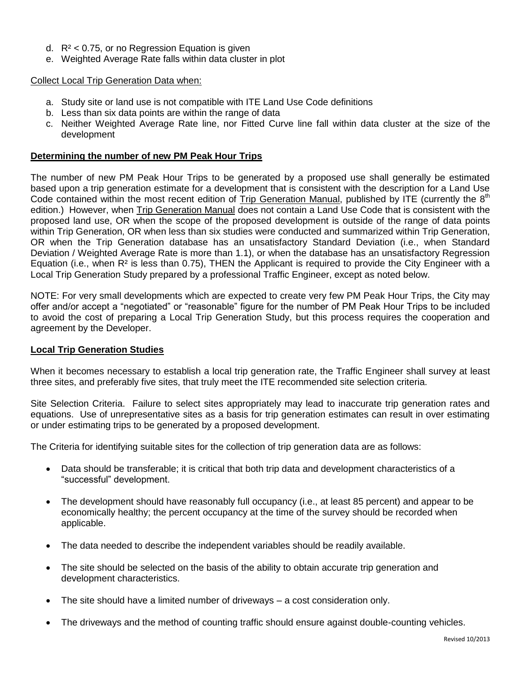- d.  $R^2$  < 0.75, or no Regression Equation is given
- e. Weighted Average Rate falls within data cluster in plot

#### Collect Local Trip Generation Data when:

- a. Study site or land use is not compatible with ITE Land Use Code definitions
- b. Less than six data points are within the range of data
- c. Neither Weighted Average Rate line, nor Fitted Curve line fall within data cluster at the size of the development

#### **Determining the number of new PM Peak Hour Trips**

The number of new PM Peak Hour Trips to be generated by a proposed use shall generally be estimated based upon a trip generation estimate for a development that is consistent with the description for a Land Use Code contained within the most recent edition of Trip Generation Manual, published by ITE (currently the 8<sup>th</sup> edition.) However, when Trip Generation Manual does not contain a Land Use Code that is consistent with the proposed land use, OR when the scope of the proposed development is outside of the range of data points within Trip Generation, OR when less than six studies were conducted and summarized within Trip Generation, OR when the Trip Generation database has an unsatisfactory Standard Deviation (i.e., when Standard Deviation / Weighted Average Rate is more than 1.1), or when the database has an unsatisfactory Regression Equation (i.e., when  $R<sup>2</sup>$  is less than 0.75), THEN the Applicant is required to provide the City Engineer with a Local Trip Generation Study prepared by a professional Traffic Engineer, except as noted below.

NOTE: For very small developments which are expected to create very few PM Peak Hour Trips, the City may offer and/or accept a "negotiated" or "reasonable" figure for the number of PM Peak Hour Trips to be included to avoid the cost of preparing a Local Trip Generation Study, but this process requires the cooperation and agreement by the Developer.

#### **Local Trip Generation Studies**

When it becomes necessary to establish a local trip generation rate, the Traffic Engineer shall survey at least three sites, and preferably five sites, that truly meet the ITE recommended site selection criteria.

Site Selection Criteria. Failure to select sites appropriately may lead to inaccurate trip generation rates and equations. Use of unrepresentative sites as a basis for trip generation estimates can result in over estimating or under estimating trips to be generated by a proposed development.

The Criteria for identifying suitable sites for the collection of trip generation data are as follows:

- Data should be transferable; it is critical that both trip data and development characteristics of a "successful" development.
- The development should have reasonably full occupancy (i.e., at least 85 percent) and appear to be economically healthy; the percent occupancy at the time of the survey should be recorded when applicable.
- The data needed to describe the independent variables should be readily available.
- The site should be selected on the basis of the ability to obtain accurate trip generation and development characteristics.
- The site should have a limited number of driveways a cost consideration only.
- The driveways and the method of counting traffic should ensure against double-counting vehicles.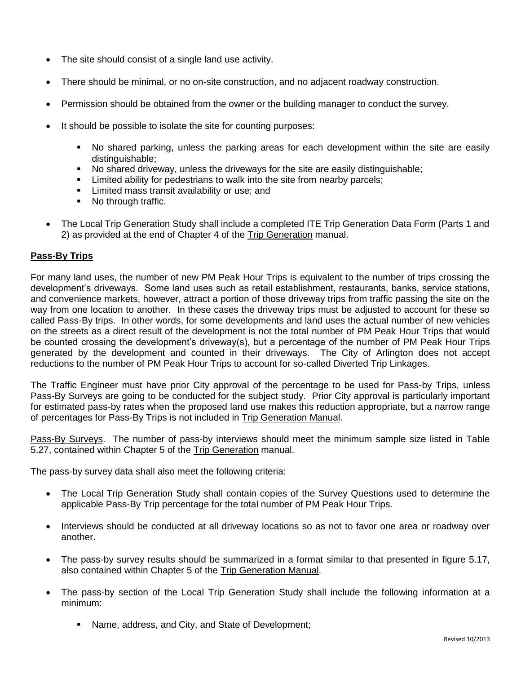- The site should consist of a single land use activity.
- There should be minimal, or no on-site construction, and no adjacent roadway construction.
- Permission should be obtained from the owner or the building manager to conduct the survey.
- It should be possible to isolate the site for counting purposes:
	- No shared parking, unless the parking areas for each development within the site are easily distinguishable;
	- No shared driveway, unless the driveways for the site are easily distinguishable;
	- **EXECT** Limited ability for pedestrians to walk into the site from nearby parcels;
	- **EXEC** Limited mass transit availability or use; and
	- No through traffic.
- The Local Trip Generation Study shall include a completed ITE Trip Generation Data Form (Parts 1 and 2) as provided at the end of Chapter 4 of the Trip Generation manual.

### **Pass-By Trips**

For many land uses, the number of new PM Peak Hour Trips is equivalent to the number of trips crossing the development's driveways. Some land uses such as retail establishment, restaurants, banks, service stations, and convenience markets, however, attract a portion of those driveway trips from traffic passing the site on the way from one location to another. In these cases the driveway trips must be adjusted to account for these so called Pass-By trips. In other words, for some developments and land uses the actual number of new vehicles on the streets as a direct result of the development is not the total number of PM Peak Hour Trips that would be counted crossing the development's driveway(s), but a percentage of the number of PM Peak Hour Trips generated by the development and counted in their driveways. The City of Arlington does not accept reductions to the number of PM Peak Hour Trips to account for so-called Diverted Trip Linkages.

The Traffic Engineer must have prior City approval of the percentage to be used for Pass-by Trips, unless Pass-By Surveys are going to be conducted for the subject study. Prior City approval is particularly important for estimated pass-by rates when the proposed land use makes this reduction appropriate, but a narrow range of percentages for Pass-By Trips is not included in Trip Generation Manual.

Pass-By Surveys. The number of pass-by interviews should meet the minimum sample size listed in Table 5.27, contained within Chapter 5 of the Trip Generation manual.

The pass-by survey data shall also meet the following criteria:

- The Local Trip Generation Study shall contain copies of the Survey Questions used to determine the applicable Pass-By Trip percentage for the total number of PM Peak Hour Trips.
- Interviews should be conducted at all driveway locations so as not to favor one area or roadway over another.
- The pass-by survey results should be summarized in a format similar to that presented in figure 5.17, also contained within Chapter 5 of the Trip Generation Manual.
- The pass-by section of the Local Trip Generation Study shall include the following information at a minimum:
	- Name, address, and City, and State of Development;